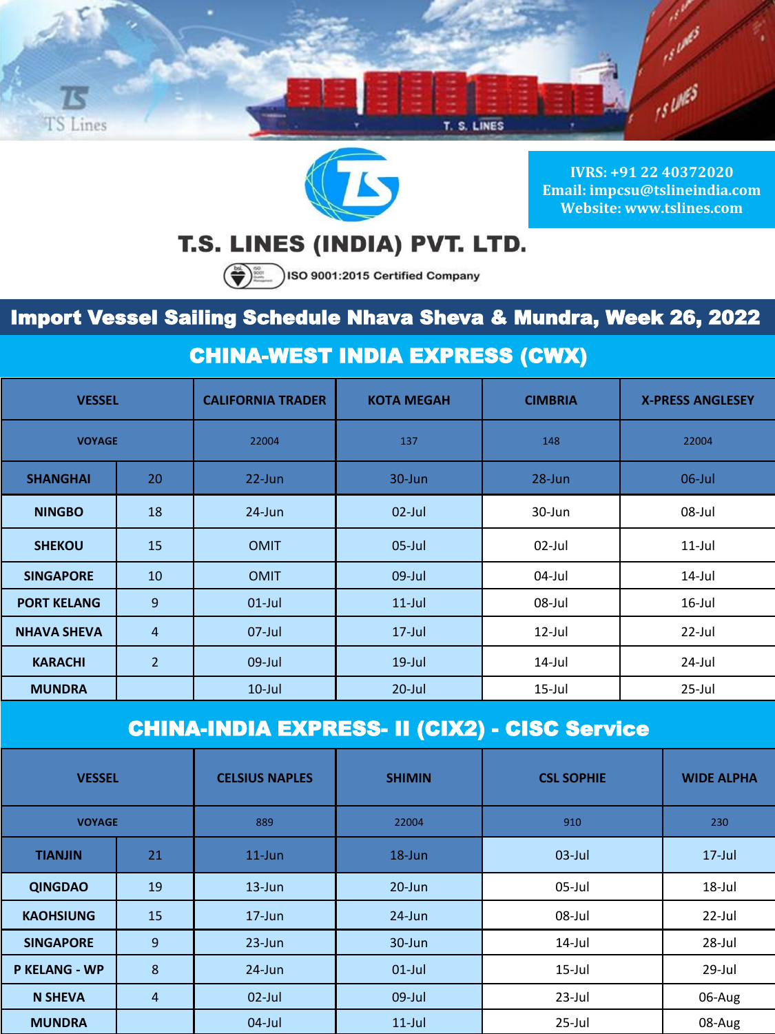



**IVRS: +91 22 40372020 Email: impcsu@tslineindia.com Website: www.tslines.com**

# T.S. LINES (INDIA) PVT. LTD.

SO 9001:2015 Certified Company

## Import Vessel Sailing Schedule Nhava Sheva & Mundra, Week 26, 2022

#### CHINA-WEST INDIA EXPRESS (CWX)

| <b>VESSEL</b>      |                | <b>CALIFORNIA TRADER</b> | <b>KOTA MEGAH</b> | <b>CIMBRIA</b> | <b>X-PRESS ANGLESEY</b> |
|--------------------|----------------|--------------------------|-------------------|----------------|-------------------------|
| <b>VOYAGE</b>      |                | 22004                    | 137               | 148            | 22004                   |
| <b>SHANGHAI</b>    | 20             | $22$ -Jun                | $30 - Jun$        | $28 - Jun$     | $06$ -Jul               |
| <b>NINGBO</b>      | 18             | $24$ -Jun                | $02$ -Jul         | 30-Jun         | 08-Jul                  |
| <b>SHEKOU</b>      | 15             | <b>OMIT</b>              | $05$ -Jul         | $02$ -Jul      | $11$ -Jul               |
| <b>SINGAPORE</b>   | 10             | <b>OMIT</b>              | $09$ -Jul         | $04$ -Jul      | $14$ -Jul               |
| <b>PORT KELANG</b> | $\overline{9}$ | $01$ -Jul                | $11$ -Jul         | 08-Jul         | $16$ -Jul               |
| <b>NHAVA SHEVA</b> | $\overline{4}$ | $07$ -Jul                | $17$ -Jul         | $12$ -Jul      | $22$ -Jul               |
| <b>KARACHI</b>     | $\overline{2}$ | $09$ -Jul                | $19$ -Jul         | $14$ -Jul      | $24$ -Jul               |
| <b>MUNDRA</b>      |                | $10$ -Jul                | $20$ -Jul         | $15$ -Jul      | 25-Jul                  |

#### CHINA-INDIA EXPRESS- II (CIX2) - CISC Service

| <b>VESSEL</b>        |    | <b>CELSIUS NAPLES</b> | <b>SHIMIN</b> | <b>CSL SOPHIE</b> | <b>WIDE ALPHA</b> |
|----------------------|----|-----------------------|---------------|-------------------|-------------------|
| <b>VOYAGE</b>        |    | 889                   | 22004         | 910               | 230               |
| <b>TIANJIN</b>       | 21 | $11$ -Jun             | $18$ -Jun     | $03$ -Jul         | $17$ -Jul         |
| <b>QINGDAO</b>       | 19 | $13$ -Jun             | $20 - Jun$    | 05-Jul            | 18-Jul            |
| <b>KAOHSIUNG</b>     | 15 | $17 - Jun$            | $24$ -Jun     | 08-Jul            | $22$ -Jul         |
| <b>SINGAPORE</b>     | 9  | $23$ -Jun             | $30 - Jun$    | $14$ -Jul         | 28-Jul            |
| <b>P KELANG - WP</b> | 8  | $24$ -Jun             | $01$ -Jul     | $15$ -Jul         | 29-Jul            |
| <b>N SHEVA</b>       | 4  | $02$ -Jul             | $09$ -Jul     | $23$ -Jul         | 06-Aug            |
| <b>MUNDRA</b>        |    | $04$ -Jul             | $11$ -Jul     | $25$ -Jul         | 08-Aug            |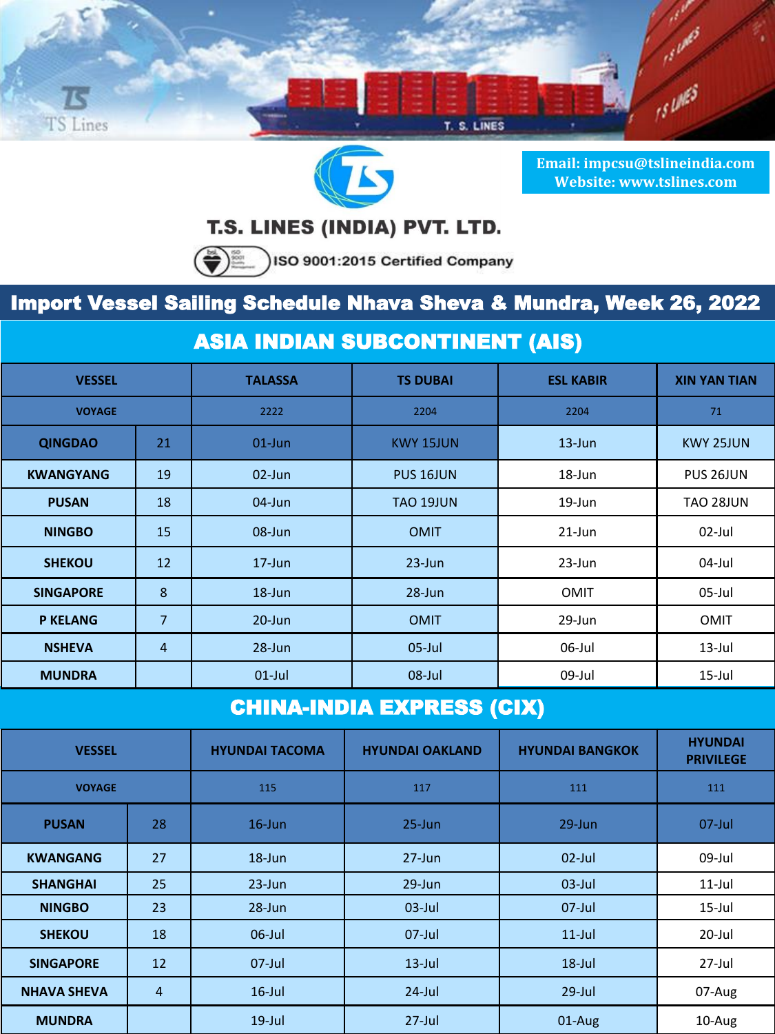



**Email: impcsu@tslineindia.com Website: www.tslines.com**

### T.S. LINES (INDIA) PVT. LTD.

 $\left(\bigstar\right)$  . ISO 9001:2015 Certified Company

## Import Vessel Sailing Schedule Nhava Sheva & Mundra, Week 26, 2022

### ASIA INDIAN SUBCONTINENT (AIS)

| <b>VESSEL</b>    |                | <b>TALASSA</b> | <b>TS DUBAI</b>      | <b>ESL KABIR</b> | <b>XIN YAN TIAN</b> |
|------------------|----------------|----------------|----------------------|------------------|---------------------|
| <b>VOYAGE</b>    |                | 2222           | 2204                 | 2204             | 71                  |
| <b>QINGDAO</b>   | 21             | $01$ -Jun      | <b>KWY 15JUN</b>     | $13 - Jun$       | <b>KWY 25JUN</b>    |
| <b>KWANGYANG</b> | 19             | $02$ -Jun      | PUS <sub>16JUN</sub> | 18-Jun           | PUS 26JUN           |
| <b>PUSAN</b>     | 18             | $04$ -Jun      | <b>TAO 19JUN</b>     | 19-Jun           | TAO 28JUN           |
| <b>NINGBO</b>    | 15             | $08$ -Jun      | <b>OMIT</b>          | $21$ -Jun        | $02$ -Jul           |
| <b>SHEKOU</b>    | 12             | $17 - Jun$     | $23 - Jun$           | $23$ -Jun        | 04-Jul              |
| <b>SINGAPORE</b> | 8              | $18$ -Jun      | $28 - Jun$           | <b>OMIT</b>      | $05$ -Jul           |
| <b>P KELANG</b>  | $\overline{7}$ | $20 - Jun$     | <b>OMIT</b>          | 29-Jun           | <b>OMIT</b>         |
| <b>NSHEVA</b>    | $\overline{4}$ | $28 - Jun$     | $05$ -Jul            | 06-Jul           | $13$ -Jul           |
| <b>MUNDRA</b>    |                | $01$ -Jul      | $08$ -Jul            | 09-Jul           | $15$ -Jul           |

## CHINA-INDIA EXPRESS (CIX)

| <b>VESSEL</b>      |                | <b>HYUNDAI TACOMA</b> | <b>HYUNDAI OAKLAND</b> | <b>HYUNDAI BANGKOK</b> | <b>HYUNDAI</b><br><b>PRIVILEGE</b> |
|--------------------|----------------|-----------------------|------------------------|------------------------|------------------------------------|
| <b>VOYAGE</b>      |                | 115                   | 117                    | 111                    | 111                                |
| <b>PUSAN</b>       | 28             | $16$ -Jun             | $25 - Jun$             | $29$ -Jun              | $07$ -Jul                          |
| <b>KWANGANG</b>    | 27             | $18 - Jun$            | $27 - Jun$             | $02$ -Jul              | 09-Jul                             |
| <b>SHANGHAI</b>    | 25             | $23$ -Jun             | $29$ -Jun              | $03$ -Jul              | $11$ -Jul                          |
| <b>NINGBO</b>      | 23             | $28 - Jun$            | $03$ -Jul              | $07$ -Jul              | $15$ -Jul                          |
| <b>SHEKOU</b>      | 18             | $06$ -Jul             | $07$ -Jul              | $11$ -Jul              | 20-Jul                             |
| <b>SINGAPORE</b>   | 12             | $07$ -Jul             | $13$ -Jul              | $18$ -Jul              | $27$ -Jul                          |
| <b>NHAVA SHEVA</b> | $\overline{4}$ | $16$ -Jul             | $24$ -Jul              | $29$ -Jul              | 07-Aug                             |
| <b>MUNDRA</b>      |                | $19$ -Jul             | $27$ -Jul              | 01-Aug                 | 10-Aug                             |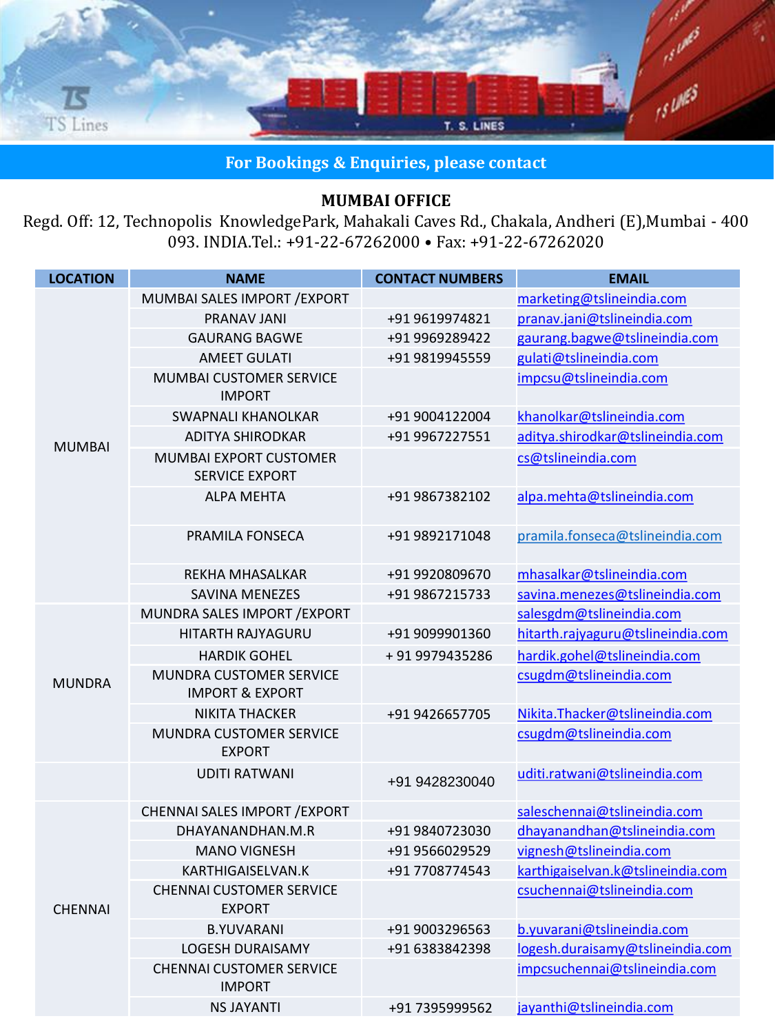

**For Bookings & Enquiries, please contact**

#### **MUMBAI OFFICE**

Regd. Off: 12, Technopolis KnowledgePark, Mahakali Caves Rd., Chakala, Andheri (E),Mumbai - 400 093. INDIA.Tel.: +91-22-67262000 • Fax: +91-22-67262020

| <b>LOCATION</b> | <b>NAME</b>                                                  | <b>CONTACT NUMBERS</b> | <b>EMAIL</b>                      |
|-----------------|--------------------------------------------------------------|------------------------|-----------------------------------|
|                 | MUMBAI SALES IMPORT / EXPORT                                 |                        | marketing@tslineindia.com         |
|                 | PRANAV JANI                                                  | +91 9619974821         | pranav.jani@tslineindia.com       |
|                 | <b>GAURANG BAGWE</b>                                         | +91 9969289422         | gaurang.bagwe@tslineindia.com     |
|                 | <b>AMEET GULATI</b>                                          | +91 9819945559         | gulati@tslineindia.com            |
|                 | MUMBAI CUSTOMER SERVICE<br><b>IMPORT</b>                     |                        | impcsu@tslineindia.com            |
|                 | <b>SWAPNALI KHANOLKAR</b>                                    | +91 9004122004         | khanolkar@tslineindia.com         |
| <b>MUMBAI</b>   | <b>ADITYA SHIRODKAR</b>                                      | +91 9967227551         | aditya.shirodkar@tslineindia.com  |
|                 | <b>MUMBAI EXPORT CUSTOMER</b><br><b>SERVICE EXPORT</b>       |                        | cs@tslineindia.com                |
|                 | <b>ALPA MEHTA</b>                                            | +91 9867382102         | alpa.mehta@tslineindia.com        |
|                 | PRAMILA FONSECA                                              | +91 9892171048         | pramila.fonseca@tslineindia.com   |
|                 | <b>REKHA MHASALKAR</b>                                       | +91 9920809670         | mhasalkar@tslineindia.com         |
|                 | <b>SAVINA MENEZES</b>                                        | +91 9867215733         | savina.menezes@tslineindia.com    |
|                 | MUNDRA SALES IMPORT / EXPORT                                 |                        | salesgdm@tslineindia.com          |
|                 | <b>HITARTH RAJYAGURU</b>                                     | +91 9099901360         | hitarth.rajyaguru@tslineindia.com |
|                 | <b>HARDIK GOHEL</b>                                          | +919979435286          | hardik.gohel@tslineindia.com      |
| <b>MUNDRA</b>   | <b>MUNDRA CUSTOMER SERVICE</b><br><b>IMPORT &amp; EXPORT</b> |                        | csugdm@tslineindia.com            |
|                 | <b>NIKITA THACKER</b>                                        | +91 9426657705         | Nikita.Thacker@tslineindia.com    |
|                 | MUNDRA CUSTOMER SERVICE<br><b>EXPORT</b>                     |                        | csugdm@tslineindia.com            |
|                 | <b>UDITI RATWANI</b>                                         | +91 9428230040         | uditi.ratwani@tslineindia.com     |
|                 | CHENNAI SALES IMPORT / EXPORT                                |                        | saleschennai@tslineindia.com      |
| <b>CHENNAI</b>  | DHAYANANDHAN.M.R                                             | +91 9840723030         | dhayanandhan@tslineindia.com      |
|                 | <b>MANO VIGNESH</b>                                          | +91 9566029529         | vignesh@tslineindia.com           |
|                 | KARTHIGAISELVAN.K                                            | +91 7708774543         | karthigaiselvan.k@tslineindia.com |
|                 | <b>CHENNAI CUSTOMER SERVICE</b><br><b>EXPORT</b>             |                        | csuchennai@tslineindia.com        |
|                 | <b>B.YUVARANI</b>                                            | +91 9003296563         | b.yuvarani@tslineindia.com        |
|                 | <b>LOGESH DURAISAMY</b>                                      | +91 6383842398         | logesh.duraisamy@tslineindia.com  |
|                 | <b>CHENNAI CUSTOMER SERVICE</b><br><b>IMPORT</b>             |                        | impcsuchennai@tslineindia.com     |
|                 | <b>NS JAYANTI</b>                                            | +91 7395999562         | jayanthi@tslineindia.com          |
|                 |                                                              |                        |                                   |